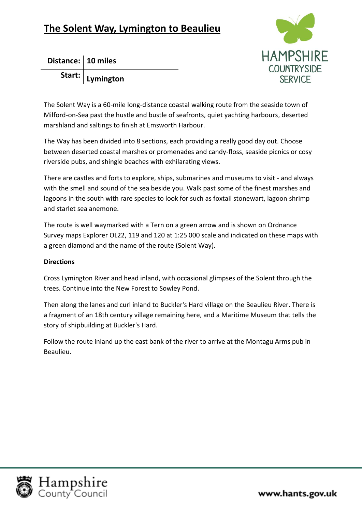

**Distance: 10 miles**

**Start: Lymington** 

The Solent Way is a 60-mile long-distance coastal walking route from the seaside town of Milford-on-Sea past the hustle and bustle of seafronts, quiet yachting harbours, deserted marshland and saltings to finish at Emsworth Harbour.

The Way has been divided into 8 sections, each providing a really good day out. Choose between deserted coastal marshes or promenades and candy-floss, seaside picnics or cosy riverside pubs, and shingle beaches with exhilarating views.

There are castles and forts to explore, ships, submarines and museums to visit - and always with the smell and sound of the sea beside you. Walk past some of the finest marshes and lagoons in the south with rare species to look for such as foxtail stonewart, lagoon shrimp and starlet sea anemone.

The route is well waymarked with a Tern on a green arrow and is shown on Ordnance Survey maps Explorer OL22, 119 and 120 at 1:25 000 scale and indicated on these maps with a green diamond and the name of the route (Solent Way).

## **Directions**

Cross Lymington River and head inland, with occasional glimpses of the Solent through the trees. Continue into the New Forest to Sowley Pond.

Then along the lanes and curl inland to Buckler's Hard village on the Beaulieu River. There is a fragment of an 18th century village remaining here, and a Maritime Museum that tells the story of shipbuilding at Buckler's Hard.

Follow the route inland up the east bank of the river to arrive at the Montagu Arms pub in Beaulieu.



www.hants.gov.uk